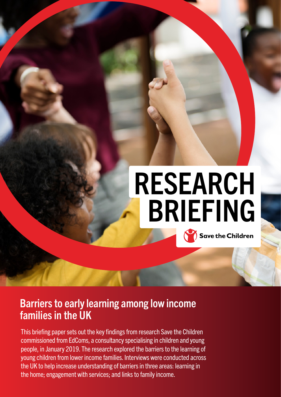# RESEARCH BRIEFING **Save the Children**

## Barriers to early learning among low income families in the UK

This briefing paper sets out the key findings from research Save the Children commissioned from EdComs, a consultancy specialising in children and young people, in January 2019. The research explored the barriers to the learning of young children from lower income families. Interviews were conducted across the UK to help increase understanding of barriers in three areas: learning in the home; engagement with services; and links to family income.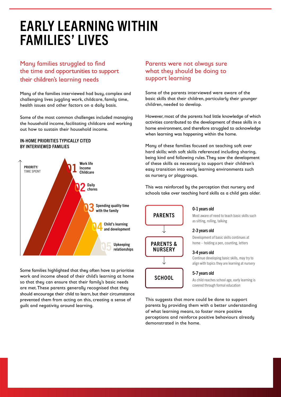# EARLY LEARNING WITHIN FAMILIES' LIVES

### Many families struggled to find the time and opportunities to support their children's learning needs

Many of the families interviewed had busy, complex and challenging lives juggling work, childcare, family time, health issues and other factors on a daily basis.

Some of the most common challenges included managing the household income, facilitating childcare and working out how to sustain their household income.

#### IN-HOME PRIORITIES TYPICALLY CITED BY INTERVIEWED FAMILIES



Some families highlighted that they often have to prioritise work and income ahead of their child's learning at home so that they can ensure that their family's basic needs are met. These parents generally recognised that they should encourage their child to learn, but their circumstance prevented them from acting on this, creating a sense of guilt and negativity around learning.

### Parents were not always sure what they should be doing to support learning

Some of the parents interviewed were aware of the basic skills that their children, particularly their younger children, needed to develop.

However, most of the parents had little knowledge of which activities contributed to the development of these skills in a home environment, and therefore struggled to acknowledge when learning was happening within the home.

Many of these families focused on teaching soft over hard skills; with soft skills referenced including sharing, being kind and following rules. They saw the development of these skills as necessary to support their children's easy transition into early learning environments such as nursery or playgroups.

This was reinforced by the perception that nursery and schools take over teaching hard skills as a child gets older.



#### 0-1 years old

Most aware of need to teach basic skills such as sitting, rolling, talking

#### 2-3 years old

Development of basic skills continues at home – holding a pen, counting, letters

#### 3-4 years old

Continue developing basic skills, may try to align with topics they are learning at nursery

#### 5-7 years old

As child reaches school age, early learning is covered through formal education

This suggests that more could be done to support parents by providing them with a better understanding of what learning means, to foster more positive perceptions and reinforce positive behaviours already demonstrated in the home.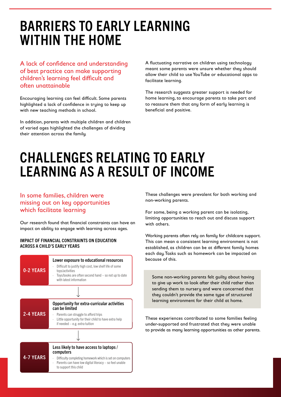# BARRIERS TO EARLY LEARNING WITHIN THE HOME

A lack of confidence and understanding of best practice can make supporting children's learning feel difficult and often unattainable

Encouraging learning can feel difficult. Some parents highlighted a lack of confidence in trying to keep up with new teaching methods in school.

In addition, parents with multiple children and children of varied ages highlighted the challenges of dividing their attention across the family.

A fluctuating narrative on children using technology meant some parents were unsure whether they should allow their child to use YouTube or educational apps to facilitate learning.

The research suggests greater support is needed for home learning, to encourage parents to take part and to reassure them that any form of early learning is beneficial and positive.

# CHALLENGES RELATING TO EARLY LEARNING AS A RESULT OF INCOME

### In some families, children were missing out on key opportunities which facilitate learning

Our research found that financial constraints can have an impact on ability to engage with learning across ages.

#### IMPACT OF FINANCIAL CONSTRAINTS ON EDUCATION ACROSS A CHILD'S EARLY YEARS



These challenges were prevalent for both working and non-working parents.

For some, being a working parent can be isolating, limiting opportunities to reach out and discuss support with others.

Working parents often rely on family for childcare support. This can mean a consistent learning environment is not established, as children can be at different family homes each day. Tasks such as homework can be impacted on because of this.

Some non-working parents felt guilty about having to give up work to look after their child rather than sending them to nursery and were concerned that they couldn't provide the same type of structured learning environment for their child at home.

These experiences contributed to some families feeling under-supported and frustrated that they were unable to provide as many learning opportunities as other parents.